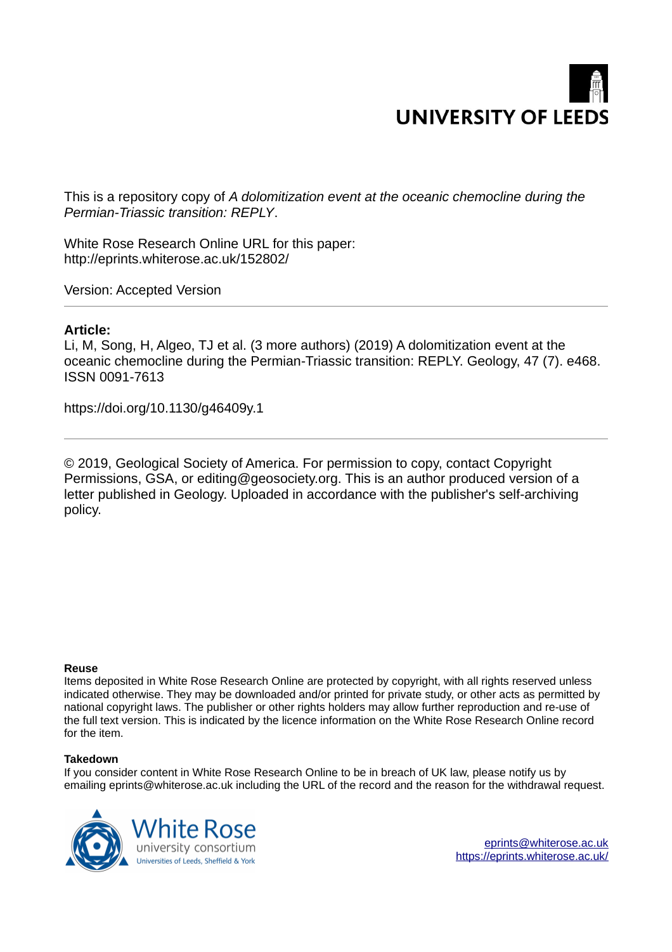

This is a repository copy of *A dolomitization event at the oceanic chemocline during the Permian-Triassic transition: REPLY*.

White Rose Research Online URL for this paper: http://eprints.whiterose.ac.uk/152802/

Version: Accepted Version

## **Article:**

Li, M, Song, H, Algeo, TJ et al. (3 more authors) (2019) A dolomitization event at the oceanic chemocline during the Permian-Triassic transition: REPLY. Geology, 47 (7). e468. ISSN 0091-7613

https://doi.org/10.1130/g46409y.1

© 2019, Geological Society of America. For permission to copy, contact Copyright Permissions, GSA, or editing@geosociety.org. This is an author produced version of a letter published in Geology. Uploaded in accordance with the publisher's self-archiving policy.

## **Reuse**

Items deposited in White Rose Research Online are protected by copyright, with all rights reserved unless indicated otherwise. They may be downloaded and/or printed for private study, or other acts as permitted by national copyright laws. The publisher or other rights holders may allow further reproduction and re-use of the full text version. This is indicated by the licence information on the White Rose Research Online record for the item.

## **Takedown**

If you consider content in White Rose Research Online to be in breach of UK law, please notify us by emailing eprints@whiterose.ac.uk including the URL of the record and the reason for the withdrawal request.

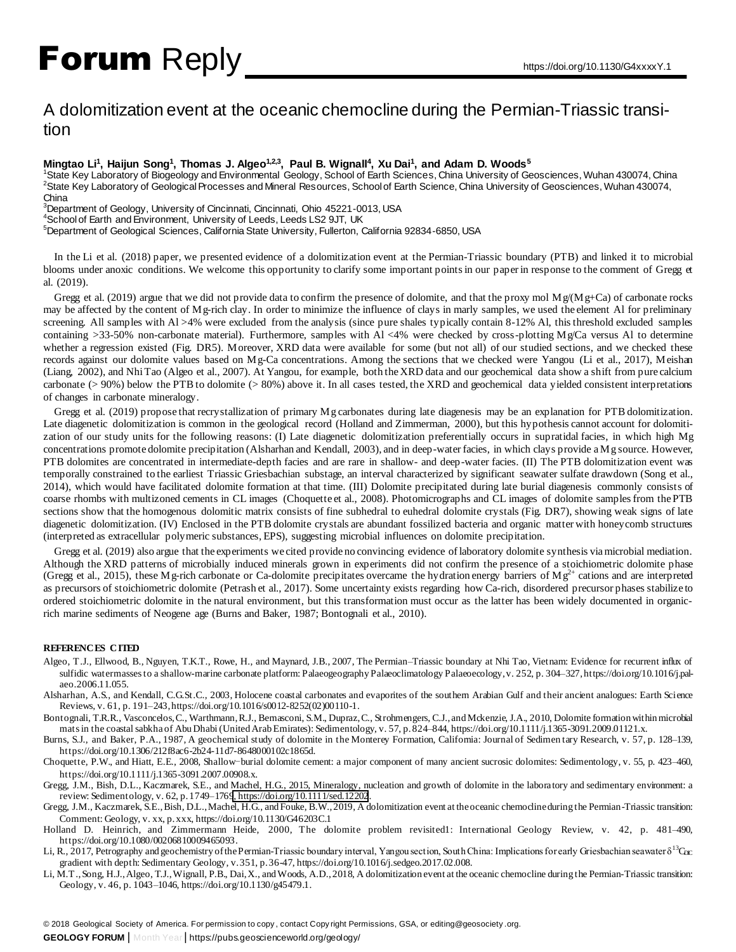# Forum Reply https://doi.org/10.1130/G4xxxxY.1

# A dolomitization event at the oceanic chemocline during the Permian-Triassic transition

### **Mingtao Li<sup>1</sup> , Haijun Song<sup>1</sup> , Thomas J. Algeo1,2,3, Paul B. Wignall<sup>4</sup> , Xu Dai<sup>1</sup> , and Adam D. Woods<sup>5</sup>**

<sup>1</sup>State Key Laboratory of Biogeology and Environmental Geology, School of Earth Sciences, China University of Geosciences, Wuhan 430074, China <sup>2</sup>State Key Laboratory of Geological Processes and Mineral Resources, School of Earth Science, China University of Geosciences, Wuhan 430074, China

3namer<br><sup>3</sup>Department of Geology, University of Cincinnati, Cincinnati, Ohio 45221-0013, USA

<sup>4</sup>School of Earth and Environment, University of Leeds, Leeds LS2 9JT, UK

<sup>5</sup>Department of Geological Sciences, California State University, Fullerton, California 92834-6850, USA

In the Li et al. (2018) paper, we presented evidence of a dolomitization event at the Permian-Triassic boundary (PTB) and linked it to microbial blooms under anoxic conditions. We welcome this opportunity to clarify some important points in our paper in response to the comment of Gregg et al. (2019).

Gregg et al. (2019) argue that we did not provide data to confirm the presence of dolomite, and that the proxy mol  $Mg/(Mg+Ca)$  of carbonate rocks may be affected by the content of Mg-rich clay. In order to minimize the influence of clays in marly samples, we used the element Al for preliminary screening. All samples with Al >4% were excluded from the analysis (since pure shales typically contain 8-12% Al, this threshold excluded samples containing  $>33-50\%$  non-carbonate material). Furthermore, samples with Al <4% were checked by cross-plotting Mg/Ca versus Al to determine whether a regression existed (Fig. DR5). Moreover, XRD data were available for some (but not all) of our studied sections, and we checked these records against our dolomite values based on Mg-Ca concentrations. Among the sections that we checked were Yangou (Li et al., 2017), Meishan (Liang, 2002), and Nhi Tao (Algeo et al., 2007). At Yangou, for example, both the XRD data and our geochemical data show a shift from pure calcium carbonate ( $> 90\%$ ) below the PTB to dolomite ( $> 80\%$ ) above it. In all cases tested, the XRD and geochemical data yielded consistent interpretations of changes in carbonate mineralogy.

Gregg et al. (2019) propose that recrystallization of primary Mg carbonates during late diagenesis may be an explanation for PTB dolomitization. Late diagenetic dolomitization is common in the geological record (Holland and Zimmerman, 2000), but this hypothesis cannot account for dolomitization of our study units for the following reasons: (I) Late diagenetic dolomitization preferentially occurs in supratidal facies, in which high Mg concentrations promote dolomite precipitation (Alsharhan and Kendall, 2003), and in deep-water facies, in which clays provide a Mg source. However, PTB dolomites are concentrated in intermediate-depth facies and are rare in shallow- and deep-water facies. (II) The PTB dolomitization event was temporally constrained to the earliest Triassic Griesbachian substage, an interval characterized by significant seawater sulfate drawdown (Song et al., 2014), which would have facilitated dolomite formation at that time. (III) Dolomite precipitated during late burial diagenesis commonly consists of coarse rhombs with multizoned cements in CL images (Choquette et al., 2008). Photomicrographs and CL images of dolomite samples from the PTB sections show that the homogenous dolomitic matrix consists of fine subhedral to euhedral dolomite crystals (Fig. DR7), showing weak signs of late diagenetic dolomitization. (IV) Enclosed in the PTB dolomite crystals are abundant fossilized bacteria and organic matter with honeycomb structures (interpreted as extracellular polymeric substances, EPS), suggesting microbial influences on dolomite precipitation.

Gregg et al. (2019) also argue that the experiments we cited provide no convincing evidence of laboratory dolomite synthesis via microbial mediation. Although the XRD patterns of microbially induced minerals grown in experiments did not confirm the presence of a stoichiometric dolomite phase (Gregg et al., 2015), these Mg-rich carbonate or Ca-dolomite precipitates overcame the hydration energy barriers of Mg<sup>2+</sup> cations and are interpreted as precursors of stoichiometric dolomite (Petrash et al., 2017). Some uncertainty exists regarding how Ca-rich, disordered precursor phases stabilize to ordered stoichiometric dolomite in the natural environment, but this transformation must occur as the latter has been widely documented in organicrich marine sediments of Neogene age (Burns and Baker, 1987; Bontognali et al., 2010).

#### **REFERENCES CITED**

- Algeo, T.J., Ellwood, B., Nguyen, T.K.T., Rowe, H., and Maynard, J.B., 2007, The Permian–Triassic boundary at Nhi Tao, Vietnam: Evidence for recurrent influx of sulfidic watermasses to a shallow-marine carbonate platform: Palaeogeography Palaeoclimatology Palaeoecology, v. 252, p. 304-327, https://doi.org/10.1016/j.palaeo.2006.11.055.
- Alsharhan, A.S., and Kendall, C.G.St.C., 2003, Holocene coastal carbonates and evaporites of the southern Arabian Gulf and their ancient analogues: Earth Science Reviews, v. 61, p. 191–243, https://doi.org/10.1016/s0012-8252(02)00110-1.

Bontognali, T.R.R., Vasconcelos, C., Warthmann, R.J., Bernasconi, S.M., Dupraz, C., Strohmengers, C.J., and Mckenzie, J.A., 2010, Dolomite formation within microbial mats in the coastal sabkha of Abu Dhabi (United Arab Emirates): Sedimentology, v. 57, p. 824–844, https://doi.org/10.1111/j.1365-3091.2009.01121.x.

Burns, S.J., and Baker, P.A., 1987, A geochemical study of dolomite in the Monterey Formation, California: Journal of Sedimen tary Research, v. 57, p. 128–139, https://doi.org/10.1306/212f8ac6-2b24-11d7-8648000102c1865d.

Choquette, P.W., and Hiatt, E.E., 2008, Shallow-burial dolomite cement: a major component of many ancient sucrosic dolomites: Sedimentology, v. 55, p. 423–460, https://doi.org/10.1111/j.1365-3091.2007.00908.x.

Gregg, J.M., Bish, D.L., Kaczmarek, S.E., and Machel, H.G., 2015, Mineralogy, nucleation and growth of dolomite in the laboratory and sedimentary environment: a review: Sedimentology, v. 62, p. 1749–176[9, https://doi.org/10.1111/sed.12202](https://doi.org/10.1111/sed.12202).

Gregg, J.M., Kaczmarek, S.E., Bish, D.L., Machel, H.G., and Fouke, B.W., 2019, A dolomitization event at the oceanic chemocline during the Permian-Triassic transition: Comment: Geology, v. xx, p. xxx, https://doi.org/10.1130/G46203C.1

Holland D. Heinrich, and Zimmermann Heide, 2000, The dolomite problem revisited1: International Geology Review, v. 42, p. 481–490, https://doi.org/10.1080/00206810009465093.

Li, R., 2017, Petrography and geochemistry of the Permian-Triassic boundary interval, Yangou section, South China: Implications for early Griesbachian seawater  $\delta^{13}C_{DC}$ gradient with depth: Sedimentary Geology, v. 351, p. 36-47, https://doi.org/10.1016/j.sedgeo.2017.02.008.

Li, M.T., Song, H.J., Algeo, T.J., Wignall, P.B., Dai, X., and Woods, A.D., 2018, A dolomitization event at the oceanic chemocline during the Permian-Triassic transition: Geology, v. 46, p. 1043–1046, https://doi.org/10.1130/g45479.1.